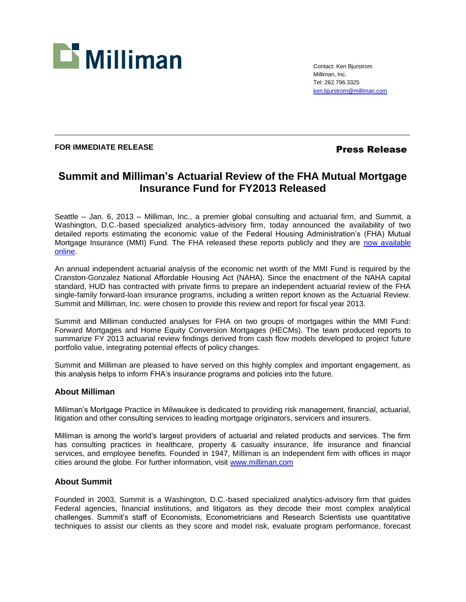

Contact: Ken Bjurstrom Milliman, Inc. Tel: 262.796.3325 [ken.bjurstrom@milliman.com](mailto:ken.bjurstrom@milliman.com)

## **FOR IMMEDIATE RELEASE Press Release**

# **Summit and Milliman's Actuarial Review of the FHA Mutual Mortgage Insurance Fund for FY2013 Released**

Seattle – Jan. 6, 2013 – Milliman, Inc., a premier global consulting and actuarial firm, and Summit, a Washington, D.C.-based specialized analytics-advisory firm, today announced the availability of two detailed reports estimating the economic value of the Federal Housing Administration's (FHA) Mutual Mortgage Insurance (MMI) Fund. The FHA released these reports publicly and they are now available [online.](http://portal.hud.gov/hudportal/documents/huddoc?id=SMFY2013MMIFundActRevFwd.pdf)

An annual independent actuarial analysis of the economic net worth of the MMI Fund is required by the Cranston-Gonzalez National Affordable Housing Act (NAHA). Since the enactment of the NAHA capital standard, HUD has contracted with private firms to prepare an independent actuarial review of the FHA single-family forward-loan insurance programs, including a written report known as the Actuarial Review. Summit and Milliman, Inc. were chosen to provide this review and report for fiscal year 2013.

Summit and Milliman conducted analyses for FHA on two groups of mortgages within the MMI Fund: Forward Mortgages and Home Equity Conversion Mortgages (HECMs). The team produced reports to summarize FY 2013 actuarial review findings derived from cash flow models developed to project future portfolio value, integrating potential effects of policy changes.

Summit and Milliman are pleased to have served on this highly complex and important engagement, as this analysis helps to inform FHA's insurance programs and policies into the future.

### **About Milliman**

Milliman's Mortgage Practice in Milwaukee is dedicated to providing risk management, financial, actuarial, litigation and other consulting services to leading mortgage originators, servicers and insurers.

Milliman is among the world's largest providers of actuarial and related products and services. The firm has consulting practices in healthcare, property & casualty insurance, life insurance and financial services, and employee benefits. Founded in 1947, Milliman is an independent firm with offices in major cities around the globe. For further information, visit [www.milliman.com](http://www.milliman.com/)

# **About Summit**

Founded in 2003, Summit is a Washington, D.C.-based specialized analytics-advisory firm that guides Federal agencies, financial institutions, and litigators as they decode their most complex analytical challenges. Summit's staff of Economists, Econometricians and Research Scientists use quantitative techniques to assist our clients as they score and model risk, evaluate program performance, forecast